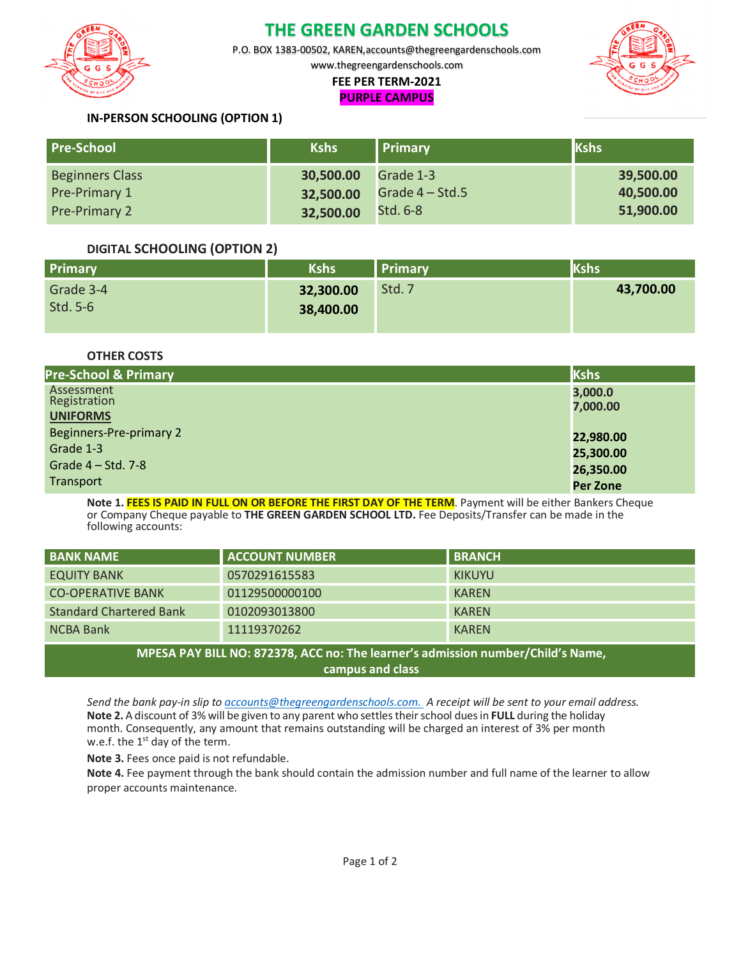

## **THE GREEN GARDEN SCHOOLS**

P.O. BOX 1383-00502, KAREN,accounts@thegreengardenschools.com

www.thegreengardenschools.com

#### **FEE PER TERM-2021 PURPLE CAMPUS**



### **IN-PERSON SCHOOLING (OPTION 1)**

| <b>Pre-School</b>      | <b>Kshs</b> | <b>Primary</b>    | <b>Kshs</b> |
|------------------------|-------------|-------------------|-------------|
| <b>Beginners Class</b> | 30,500.00   | Grade 1-3         | 39,500.00   |
| Pre-Primary 1          | 32,500.00   | Grade $4 - Std.5$ | 40,500.00   |
| <b>Pre-Primary 2</b>   | 32,500.00   | <b>Std. 6-8</b>   | 51,900.00   |

#### **DIGITAL SCHOOLING (OPTION 2)**

| Primary   | <b>Kshs</b> | <b>Primary</b> | <b>Kshs</b> |
|-----------|-------------|----------------|-------------|
| Grade 3-4 | 32,300.00   | Std. 7         | 43,700.00   |
| Std. 5-6  | 38,400.00   |                |             |

**OTHER COSTS**

| <b>Pre-School &amp; Primary</b> | Kshs            |
|---------------------------------|-----------------|
| Assessment                      | 3,000.0         |
| Registration<br><b>UNIFORMS</b> | 7,000.00        |
| Beginners-Pre-primary 2         | 22,980.00       |
| Grade 1-3                       | 25,300.00       |
| Grade $4 - Std. 7-8$            | 26,350.00       |
| Transport                       | <b>Per Zone</b> |

**Note 1. FEES IS PAID IN FULL ON OR BEFORE THE FIRST DAY OF THE TERM**. Payment will be either Bankers Cheque or Company Cheque payable to **THE GREEN GARDEN SCHOOL LTD.** Fee Deposits/Transfer can be made in the following accounts:

| <b>BANK NAME</b>                                                                | <b>ACCOUNT NUMBER</b> | <b>BRANCH</b> |  |  |
|---------------------------------------------------------------------------------|-----------------------|---------------|--|--|
| <b>EQUITY BANK</b>                                                              | 0570291615583         | <b>KIKUYU</b> |  |  |
| <b>CO-OPERATIVE BANK</b>                                                        | 01129500000100        | <b>KAREN</b>  |  |  |
| <b>Standard Chartered Bank</b>                                                  | 0102093013800         | <b>KAREN</b>  |  |  |
| <b>NCBA Bank</b>                                                                | 11119370262           | <b>KAREN</b>  |  |  |
| MPESA PAY BILL NO: 872378, ACC no: The learner's admission number/Child's Name, |                       |               |  |  |

**campus and class**

*Send the bank pay-in slip to accounts@thegreengardenschools.com. A receipt will be sent to your email address.* **Note 2.** A discount of 3% will be given to any parent who settles their school dues in **FULL** during the holiday month. Consequently, any amount that remains outstanding will be charged an interest of 3% per month w.e.f. the  $1<sup>st</sup>$  day of the term.

**Note 3.** Fees once paid is not refundable.

**Note 4.** Fee payment through the bank should contain the admission number and full name of the learner to allow proper accounts maintenance.